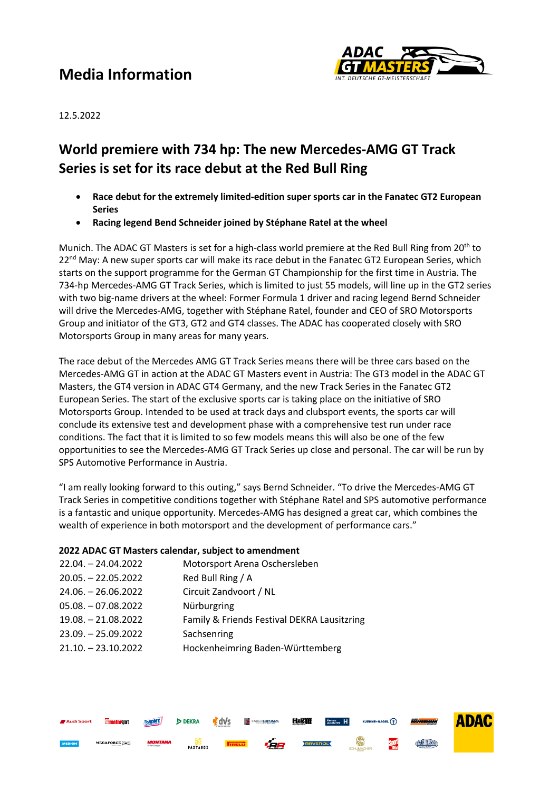## **Media Information**



12.5.2022

### **World premiere with 734 hp: The new Mercedes-AMG GT Track Series is set for its race debut at the Red Bull Ring**

- **Race debut for the extremely limited-edition super sports car in the Fanatec GT2 European Series**
- **Racing legend Bend Schneider joined by Stéphane Ratel at the wheel**

Munich. The ADAC GT Masters is set for a high-class world premiere at the Red Bull Ring from 20<sup>th</sup> to  $22<sup>nd</sup>$  May: A new super sports car will make its race debut in the Fanatec GT2 European Series, which starts on the support programme for the German GT Championship for the first time in Austria. The 734-hp Mercedes-AMG GT Track Series, which is limited to just 55 models, will line up in the GT2 series with two big-name drivers at the wheel: Former Formula 1 driver and racing legend Bernd Schneider will drive the Mercedes-AMG, together with Stéphane Ratel, founder and CEO of SRO Motorsports Group and initiator of the GT3, GT2 and GT4 classes. The ADAC has cooperated closely with SRO Motorsports Group in many areas for many years.

The race debut of the Mercedes AMG GT Track Series means there will be three cars based on the Mercedes-AMG GT in action at the ADAC GT Masters event in Austria: The GT3 model in the ADAC GT Masters, the GT4 version in ADAC GT4 Germany, and the new Track Series in the Fanatec GT2 European Series. The start of the exclusive sports car is taking place on the initiative of SRO Motorsports Group. Intended to be used at track days and clubsport events, the sports car will conclude its extensive test and development phase with a comprehensive test run under race conditions. The fact that it is limited to so few models means this will also be one of the few opportunities to see the Mercedes-AMG GT Track Series up close and personal. The car will be run by SPS Automotive Performance in Austria.

"I am really looking forward to this outing," says Bernd Schneider. "To drive the Mercedes-AMG GT Track Series in competitive conditions together with Stéphane Ratel and SPS automotive performance is a fantastic and unique opportunity. Mercedes-AMG has designed a great car, which combines the wealth of experience in both motorsport and the development of performance cars."

#### **2022 ADAC GT Masters calendar, subject to amendment**

| 22.04. - 24.04.2022   | Motorsport Arena Oschersleben               |
|-----------------------|---------------------------------------------|
| $20.05. - 22.05.2022$ | Red Bull Ring / A                           |
| $24.06. - 26.06.2022$ | Circuit Zandvoort / NL                      |
| $05.08. -07.08.2022$  | Nürburgring                                 |
| 19.08. - 21.08.2022   | Family & Friends Festival DEKRA Lausitzring |
| $23.09. - 25.09.2022$ | Sachsenring                                 |
| $21.10. - 23.10.2022$ | Hockenheimring Baden-Württemberg            |
|                       |                                             |